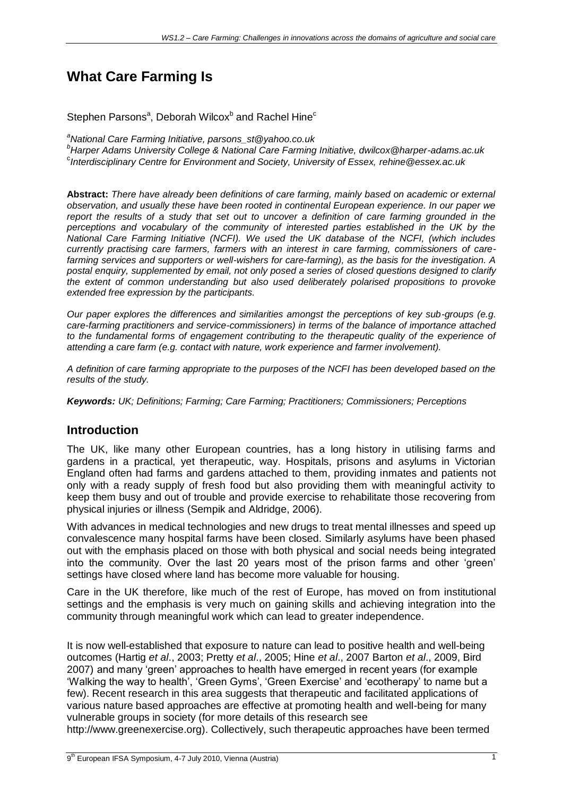# **What Care Farming Is**

Stephen Parsons<sup>a</sup>, Deborah Wilcox<sup>b</sup> and Rachel Hine<sup>c</sup>

*<sup>a</sup>National Care Farming Initiative, parsons\_st@yahoo.co.uk*

*<sup>b</sup>Harper Adams University College & National Care Farming Initiative, dwilcox@harper-adams.ac.uk* c *Interdisciplinary Centre for Environment and Society, University of Essex, [rehine@essex.ac.uk](mailto:rehine@essex.ac.uk)*

**Abstract:** *There have already been definitions of care farming, mainly based on academic or external observation, and usually these have been rooted in continental European experience. In our paper we report the results of a study that set out to uncover a definition of care farming grounded in the*  perceptions and vocabulary of the community of interested parties established in the UK by the *National Care Farming Initiative (NCFI). We used the UK database of the NCFI, (which includes currently practising care farmers, farmers with an interest in care farming, commissioners of carefarming services and supporters or well-wishers for care-farming), as the basis for the investigation. A postal enquiry, supplemented by email, not only posed a series of closed questions designed to clarify the extent of common understanding but also used deliberately polarised propositions to provoke extended free expression by the participants.*

*Our paper explores the differences and similarities amongst the perceptions of key sub-groups (e.g. care-farming practitioners and service-commissioners) in terms of the balance of importance attached*  to the fundamental forms of engagement contributing to the therapeutic quality of the experience of *attending a care farm (e.g. contact with nature, work experience and farmer involvement).*

*A definition of care farming appropriate to the purposes of the NCFI has been developed based on the results of the study.*

*Keywords: UK; Definitions; Farming; Care Farming; Practitioners; Commissioners; Perceptions*

#### **Introduction**

The UK, like many other European countries, has a long history in utilising farms and gardens in a practical, yet therapeutic, way. Hospitals, prisons and asylums in Victorian England often had farms and gardens attached to them, providing inmates and patients not only with a ready supply of fresh food but also providing them with meaningful activity to keep them busy and out of trouble and provide exercise to rehabilitate those recovering from physical injuries or illness (Sempik and Aldridge, 2006).

With advances in medical technologies and new drugs to treat mental illnesses and speed up convalescence many hospital farms have been closed. Similarly asylums have been phased out with the emphasis placed on those with both physical and social needs being integrated into the community. Over the last 20 years most of the prison farms and other 'green' settings have closed where land has become more valuable for housing.

Care in the UK therefore, like much of the rest of Europe, has moved on from institutional settings and the emphasis is very much on gaining skills and achieving integration into the community through meaningful work which can lead to greater independence.

It is now well-established that exposure to nature can lead to positive health and well-being outcomes (Hartig *et al*., 2003; Pretty *et al*., 2005; Hine *et al*., 2007 Barton *et al*., 2009, Bird 2007) and many 'green' approaches to health have emerged in recent years (for example 'Walking the way to health', 'Green Gyms', 'Green Exercise' and 'ecotherapy' to name but a few). Recent research in this area suggests that therapeutic and facilitated applications of various nature based approaches are effective at promoting health and well-being for many vulnerable groups in society (for more details of this research see

http://www.greenexercise.org). Collectively, such therapeutic approaches have been termed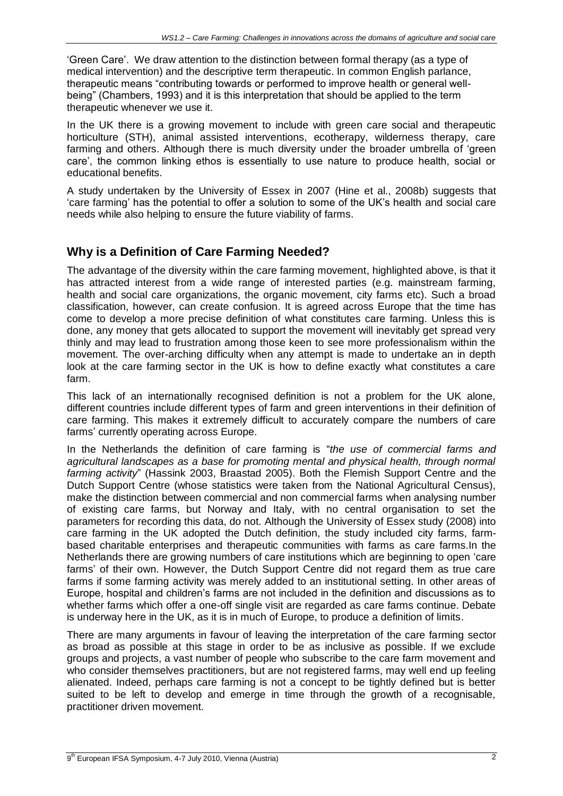'Green Care'. We draw attention to the distinction between formal therapy (as a type of medical intervention) and the descriptive term therapeutic. In common English parlance, therapeutic means "contributing towards or performed to improve health or general wellbeing" (Chambers, 1993) and it is this interpretation that should be applied to the term therapeutic whenever we use it.

In the UK there is a growing movement to include with green care social and therapeutic horticulture (STH), animal assisted interventions, ecotherapy, wilderness therapy, care farming and others. Although there is much diversity under the broader umbrella of 'green care', the common linking ethos is essentially to use nature to produce health, social or educational benefits.

A study undertaken by the University of Essex in 2007 (Hine et al., 2008b) suggests that 'care farming' has the potential to offer a solution to some of the UK's health and social care needs while also helping to ensure the future viability of farms.

## **Why is a Definition of Care Farming Needed?**

The advantage of the diversity within the care farming movement, highlighted above, is that it has attracted interest from a wide range of interested parties (e.g. mainstream farming, health and social care organizations, the organic movement, city farms etc). Such a broad classification, however, can create confusion. It is agreed across Europe that the time has come to develop a more precise definition of what constitutes care farming. Unless this is done, any money that gets allocated to support the movement will inevitably get spread very thinly and may lead to frustration among those keen to see more professionalism within the movement. The over-arching difficulty when any attempt is made to undertake an in depth look at the care farming sector in the UK is how to define exactly what constitutes a care farm.

This lack of an internationally recognised definition is not a problem for the UK alone, different countries include different types of farm and green interventions in their definition of care farming. This makes it extremely difficult to accurately compare the numbers of care farms' currently operating across Europe.

In the Netherlands the definition of care farming is "*the use of commercial farms and agricultural landscapes as a base for promoting mental and physical health, through normal farming activity*" (Hassink 2003, Braastad 2005). Both the Flemish Support Centre and the Dutch Support Centre (whose statistics were taken from the National Agricultural Census), make the distinction between commercial and non commercial farms when analysing number of existing care farms, but Norway and Italy, with no central organisation to set the parameters for recording this data, do not. Although the University of Essex study (2008) into care farming in the UK adopted the Dutch definition, the study included city farms, farmbased charitable enterprises and therapeutic communities with farms as care farms.In the Netherlands there are growing numbers of care institutions which are beginning to open 'care farms' of their own. However, the Dutch Support Centre did not regard them as true care farms if some farming activity was merely added to an institutional setting. In other areas of Europe, hospital and children's farms are not included in the definition and discussions as to whether farms which offer a one-off single visit are regarded as care farms continue. Debate is underway here in the UK, as it is in much of Europe, to produce a definition of limits.

There are many arguments in favour of leaving the interpretation of the care farming sector as broad as possible at this stage in order to be as inclusive as possible. If we exclude groups and projects, a vast number of people who subscribe to the care farm movement and who consider themselves practitioners, but are not registered farms, may well end up feeling alienated. Indeed, perhaps care farming is not a concept to be tightly defined but is better suited to be left to develop and emerge in time through the growth of a recognisable, practitioner driven movement.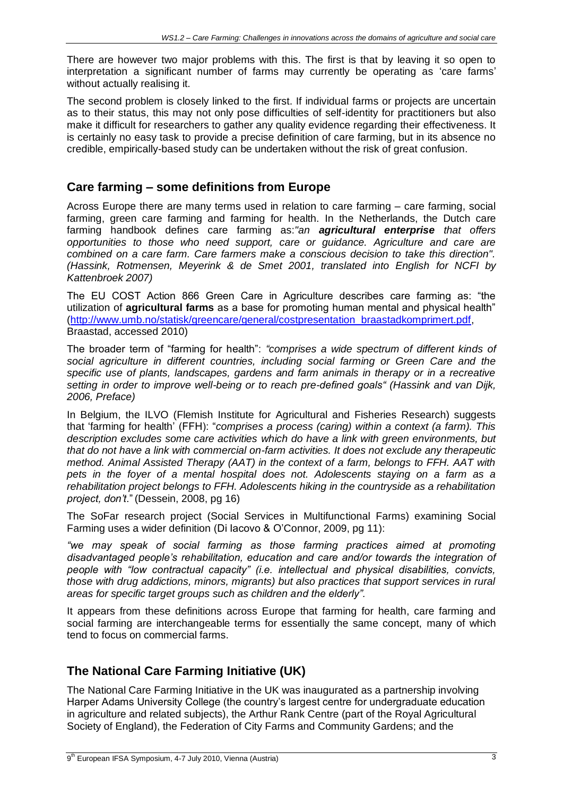There are however two major problems with this. The first is that by leaving it so open to interpretation a significant number of farms may currently be operating as 'care farms' without actually realising it.

The second problem is closely linked to the first. If individual farms or projects are uncertain as to their status, this may not only pose difficulties of self-identity for practitioners but also make it difficult for researchers to gather any quality evidence regarding their effectiveness. It is certainly no easy task to provide a precise definition of care farming, but in its absence no credible, empirically-based study can be undertaken without the risk of great confusion.

#### **Care farming – some definitions from Europe**

Across Europe there are many terms used in relation to care farming – care farming, social farming, green care farming and farming for health. In the Netherlands, the Dutch care farming handbook defines care farming as:*"an agricultural enterprise that offers opportunities to those who need support, care or guidance. Agriculture and care are combined on a care farm. Care farmers make a conscious decision to take this direction". (Hassink, Rotmensen, Meyerink & de Smet 2001, translated into English for NCFI by Kattenbroek 2007)*

The EU COST Action 866 Green Care in Agriculture describes care farming as: "the utilization of **agricultural farms** as a base for promoting human mental and physical health" [\(http://www.umb.no/statisk/greencare/general/costpresentation\\_braastadkomprimert.pdf,](http://www.umb.no/statisk/greencare/general/costpresentation_braastadkomprimert.pdf) Braastad, accessed 2010)

The broader term of "farming for health": *"comprises a wide spectrum of different kinds of social agriculture in different countries, including social farming or Green Care and the specific use of plants, landscapes, gardens and farm animals in therapy or in a recreative setting in order to improve well-being or to reach pre-defined goals" (Hassink and van Dijk, 2006, Preface)*

In Belgium, the ILVO (Flemish Institute for Agricultural and Fisheries Research) suggests that 'farming for health' (FFH): "*comprises a process (caring) within a context (a farm). This description excludes some care activities which do have a link with green environments, but that do not have a link with commercial on-farm activities. It does not exclude any therapeutic method. Animal Assisted Therapy (AAT) in the context of a farm, belongs to FFH. AAT with pets in the foyer of a mental hospital does not. Adolescents staying on a farm as a rehabilitation project belongs to FFH. Adolescents hiking in the countryside as a rehabilitation project, don't*." (Dessein, 2008, pg 16)

The SoFar research project (Social Services in Multifunctional Farms) examining Social Farming uses a wider definition (Di Iacovo & O'Connor, 2009, pg 11):

*"we may speak of social farming as those farming practices aimed at promoting disadvantaged people's rehabilitation, education and care and/or towards the integration of people with "low contractual capacity" (i.e. intellectual and physical disabilities, convicts, those with drug addictions, minors, migrants) but also practices that support services in rural areas for specific target groups such as children and the elderly".*

It appears from these definitions across Europe that farming for health, care farming and social farming are interchangeable terms for essentially the same concept, many of which tend to focus on commercial farms.

## **The National Care Farming Initiative (UK)**

The National Care Farming Initiative in the UK was inaugurated as a partnership involving Harper Adams University College (the country's largest centre for undergraduate education in agriculture and related subjects), the Arthur Rank Centre (part of the Royal Agricultural Society of England), the Federation of City Farms and Community Gardens; and the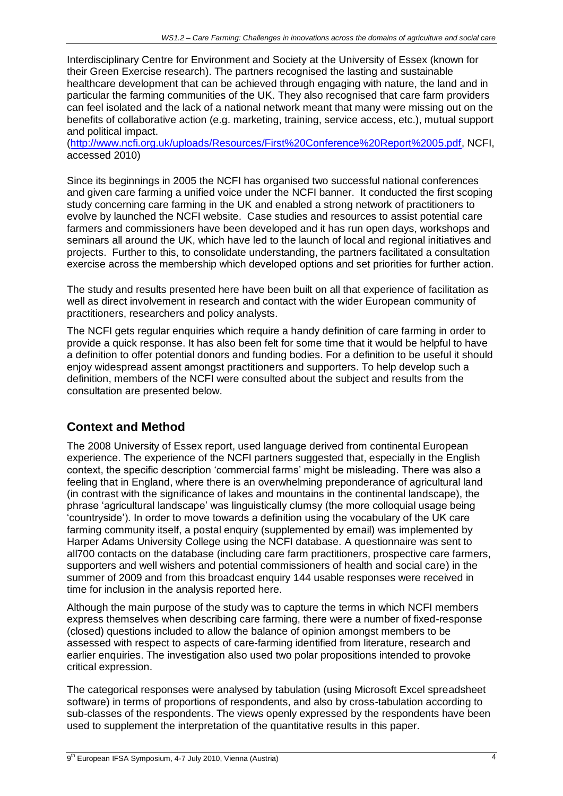Interdisciplinary Centre for Environment and Society at the University of Essex (known for their Green Exercise research). The partners recognised the lasting and sustainable healthcare development that can be achieved through engaging with nature, the land and in particular the farming communities of the UK. They also recognised that care farm providers can feel isolated and the lack of a national network meant that many were missing out on the benefits of collaborative action (e.g. marketing, training, service access, etc.), mutual support and political impact.

[\(http://www.ncfi.org.uk/uploads/Resources/First%20Conference%20Report%2005.pdf,](http://www.ncfi.org.uk/uploads/Resources/First%20Conference%20Report%2005.pdf) NCFI, accessed 2010)

Since its beginnings in 2005 the NCFI has organised two successful national conferences and given care farming a unified voice under the NCFI banner. It conducted the first scoping study concerning care farming in the UK and enabled a strong network of practitioners to evolve by launched the NCFI website. Case studies and resources to assist potential care farmers and commissioners have been developed and it has run open days, workshops and seminars all around the UK, which have led to the launch of local and regional initiatives and projects. Further to this, to consolidate understanding, the partners facilitated a consultation exercise across the membership which developed options and set priorities for further action.

The study and results presented here have been built on all that experience of facilitation as well as direct involvement in research and contact with the wider European community of practitioners, researchers and policy analysts.

The NCFI gets regular enquiries which require a handy definition of care farming in order to provide a quick response. It has also been felt for some time that it would be helpful to have a definition to offer potential donors and funding bodies. For a definition to be useful it should enjoy widespread assent amongst practitioners and supporters. To help develop such a definition, members of the NCFI were consulted about the subject and results from the consultation are presented below.

## **Context and Method**

The 2008 University of Essex report, used language derived from continental European experience. The experience of the NCFI partners suggested that, especially in the English context, the specific description 'commercial farms' might be misleading. There was also a feeling that in England, where there is an overwhelming preponderance of agricultural land (in contrast with the significance of lakes and mountains in the continental landscape), the phrase 'agricultural landscape' was linguistically clumsy (the more colloquial usage being 'countryside'). In order to move towards a definition using the vocabulary of the UK care farming community itself, a postal enquiry (supplemented by email) was implemented by Harper Adams University College using the NCFI database. A questionnaire was sent to all700 contacts on the database (including care farm practitioners, prospective care farmers, supporters and well wishers and potential commissioners of health and social care) in the summer of 2009 and from this broadcast enquiry 144 usable responses were received in time for inclusion in the analysis reported here.

Although the main purpose of the study was to capture the terms in which NCFI members express themselves when describing care farming, there were a number of fixed-response (closed) questions included to allow the balance of opinion amongst members to be assessed with respect to aspects of care-farming identified from literature, research and earlier enquiries. The investigation also used two polar propositions intended to provoke critical expression.

The categorical responses were analysed by tabulation (using Microsoft Excel spreadsheet software) in terms of proportions of respondents, and also by cross-tabulation according to sub-classes of the respondents. The views openly expressed by the respondents have been used to supplement the interpretation of the quantitative results in this paper.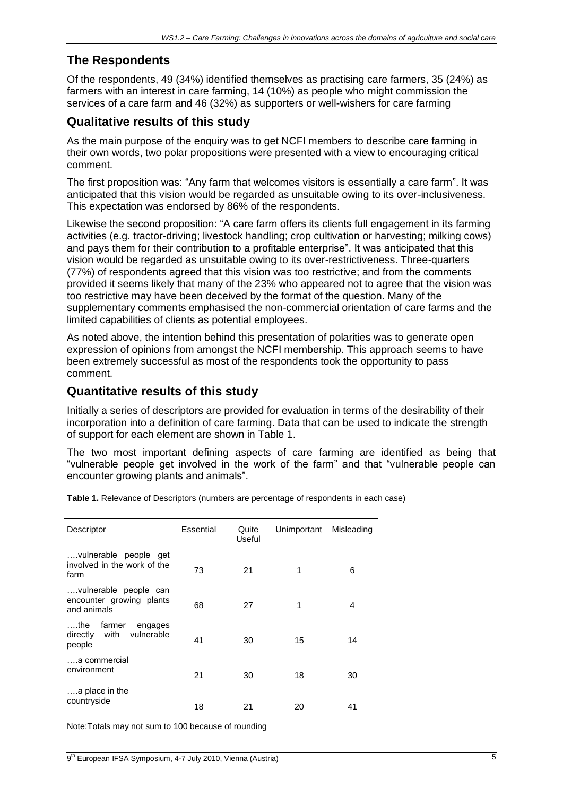#### **The Respondents**

Of the respondents, 49 (34%) identified themselves as practising care farmers, 35 (24%) as farmers with an interest in care farming, 14 (10%) as people who might commission the services of a care farm and 46 (32%) as supporters or well-wishers for care farming

#### **Qualitative results of this study**

As the main purpose of the enquiry was to get NCFI members to describe care farming in their own words, two polar propositions were presented with a view to encouraging critical comment.

The first proposition was: "Any farm that welcomes visitors is essentially a care farm". It was anticipated that this vision would be regarded as unsuitable owing to its over-inclusiveness. This expectation was endorsed by 86% of the respondents.

Likewise the second proposition: "A care farm offers its clients full engagement in its farming activities (e.g. tractor-driving; livestock handling; crop cultivation or harvesting; milking cows) and pays them for their contribution to a profitable enterprise". It was anticipated that this vision would be regarded as unsuitable owing to its over-restrictiveness. Three-quarters (77%) of respondents agreed that this vision was too restrictive; and from the comments provided it seems likely that many of the 23% who appeared not to agree that the vision was too restrictive may have been deceived by the format of the question. Many of the supplementary comments emphasised the non-commercial orientation of care farms and the limited capabilities of clients as potential employees.

As noted above, the intention behind this presentation of polarities was to generate open expression of opinions from amongst the NCFI membership. This approach seems to have been extremely successful as most of the respondents took the opportunity to pass comment.

#### **Quantitative results of this study**

Initially a series of descriptors are provided for evaluation in terms of the desirability of their incorporation into a definition of care farming. Data that can be used to indicate the strength of support for each element are shown in Table 1.

The two most important defining aspects of care farming are identified as being that "vulnerable people get involved in the work of the farm" and that "vulnerable people can encounter growing plants and animals".

| Descriptor                                                          | Essential | Quite<br>Useful | Unimportant | Misleading |
|---------------------------------------------------------------------|-----------|-----------------|-------------|------------|
| vulnerable people get<br>involved in the work of the<br>farm        | 73        | 21              | 1           | 6          |
| vulnerable people can<br>encounter growing plants<br>and animals    | 68        | 27              | 1           | 4          |
| ….the<br>farmer<br>engages<br>vulnerable<br>directly with<br>people | 41        | 30              | 15          | 14         |
| a commercial<br>environment                                         | 21        | 30              | 18          | 30         |
| a place in the<br>countryside                                       | 18        | 21              | 20          | 41         |

**Table 1.** Relevance of Descriptors (numbers are percentage of respondents in each case)

Note:Totals may not sum to 100 because of rounding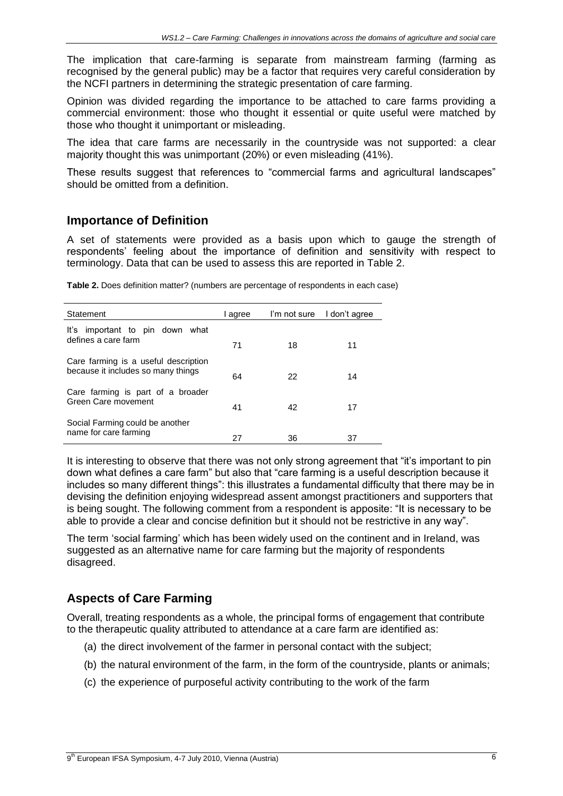The implication that care-farming is separate from mainstream farming (farming as recognised by the general public) may be a factor that requires very careful consideration by the NCFI partners in determining the strategic presentation of care farming.

Opinion was divided regarding the importance to be attached to care farms providing a commercial environment: those who thought it essential or quite useful were matched by those who thought it unimportant or misleading.

The idea that care farms are necessarily in the countryside was not supported: a clear majority thought this was unimportant (20%) or even misleading (41%).

These results suggest that references to "commercial farms and agricultural landscapes" should be omitted from a definition.

#### **Importance of Definition**

A set of statements were provided as a basis upon which to gauge the strength of respondents' feeling about the importance of definition and sensitivity with respect to terminology. Data that can be used to assess this are reported in Table 2.

| Statement                                                                  | I agree | I'm not sure | I don't agree |
|----------------------------------------------------------------------------|---------|--------------|---------------|
| important to pin down what<br>lťs.<br>defines a care farm                  | 71      | 18           | 11            |
| Care farming is a useful description<br>because it includes so many things | 64      | 22           | 14            |
| Care farming is part of a broader<br>Green Care movement                   | 41      | 42           | 17            |
| Social Farming could be another<br>name for care farming                   | 27      | 36           | 37            |

**Table 2.** Does definition matter? (numbers are percentage of respondents in each case)

It is interesting to observe that there was not only strong agreement that "it's important to pin down what defines a care farm" but also that "care farming is a useful description because it includes so many different things": this illustrates a fundamental difficulty that there may be in devising the definition enjoying widespread assent amongst practitioners and supporters that is being sought. The following comment from a respondent is apposite: "It is necessary to be able to provide a clear and concise definition but it should not be restrictive in any way".

The term 'social farming' which has been widely used on the continent and in Ireland, was suggested as an alternative name for care farming but the majority of respondents disagreed.

## **Aspects of Care Farming**

Overall, treating respondents as a whole, the principal forms of engagement that contribute to the therapeutic quality attributed to attendance at a care farm are identified as:

- (a) the direct involvement of the farmer in personal contact with the subject;
- (b) the natural environment of the farm, in the form of the countryside, plants or animals;
- (c) the experience of purposeful activity contributing to the work of the farm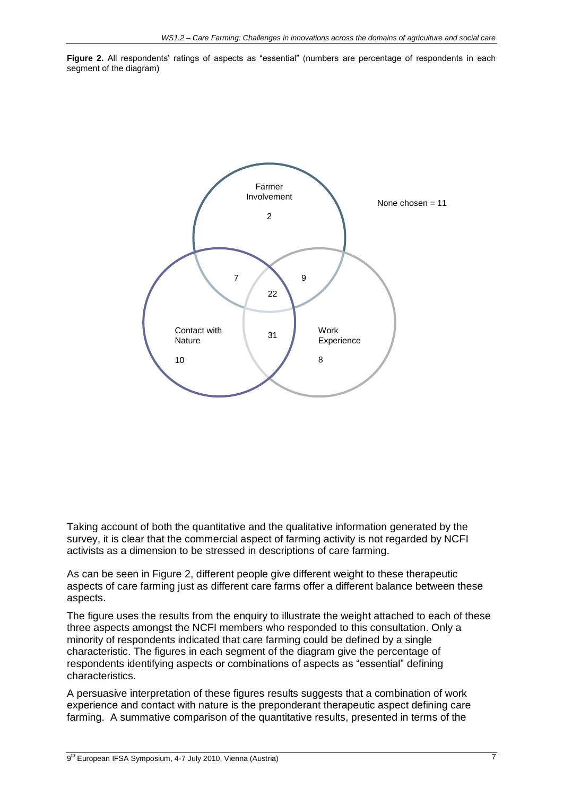**Figure 2.** All respondents' ratings of aspects as "essential" (numbers are percentage of respondents in each segment of the diagram)



Taking account of both the quantitative and the qualitative information generated by the survey, it is clear that the commercial aspect of farming activity is not regarded by NCFI activists as a dimension to be stressed in descriptions of care farming.

As can be seen in Figure 2, different people give different weight to these therapeutic aspects of care farming just as different care farms offer a different balance between these aspects.

The figure uses the results from the enquiry to illustrate the weight attached to each of these three aspects amongst the NCFI members who responded to this consultation. Only a minority of respondents indicated that care farming could be defined by a single characteristic. The figures in each segment of the diagram give the percentage of respondents identifying aspects or combinations of aspects as "essential" defining characteristics.

A persuasive interpretation of these figures results suggests that a combination of work experience and contact with nature is the preponderant therapeutic aspect defining care farming. A summative comparison of the quantitative results, presented in terms of the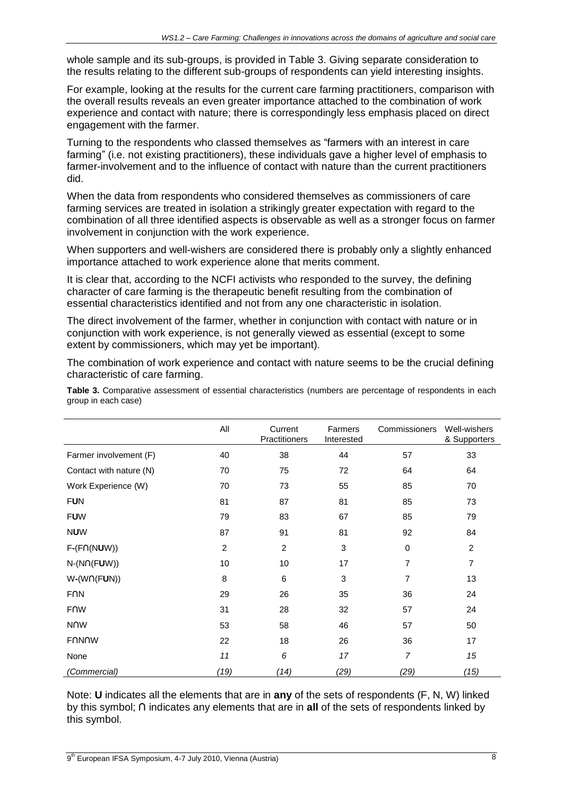whole sample and its sub-groups, is provided in Table 3. Giving separate consideration to the results relating to the different sub-groups of respondents can yield interesting insights.

For example, looking at the results for the current care farming practitioners, comparison with the overall results reveals an even greater importance attached to the combination of work experience and contact with nature; there is correspondingly less emphasis placed on direct engagement with the farmer.

Turning to the respondents who classed themselves as "farmers with an interest in care farming" (i.e. not existing practitioners), these individuals gave a higher level of emphasis to farmer-involvement and to the influence of contact with nature than the current practitioners did.

When the data from respondents who considered themselves as commissioners of care farming services are treated in isolation a strikingly greater expectation with regard to the combination of all three identified aspects is observable as well as a stronger focus on farmer involvement in conjunction with the work experience.

When supporters and well-wishers are considered there is probably only a slightly enhanced importance attached to work experience alone that merits comment.

It is clear that, according to the NCFI activists who responded to the survey, the defining character of care farming is the therapeutic benefit resulting from the combination of essential characteristics identified and not from any one characteristic in isolation.

The direct involvement of the farmer, whether in conjunction with contact with nature or in conjunction with work experience, is not generally viewed as essential (except to some extent by commissioners, which may yet be important).

The combination of work experience and contact with nature seems to be the crucial defining characteristic of care farming.

**Table 3.** Comparative assessment of essential characteristics (numbers are percentage of respondents in each group in each case)

|                         | All            | Current<br>Practitioners | Farmers<br>Interested | Commissioners  | Well-wishers<br>& Supporters |
|-------------------------|----------------|--------------------------|-----------------------|----------------|------------------------------|
| Farmer involvement (F)  | 40             | 38                       | 44                    | 57             | 33                           |
| Contact with nature (N) | 70             | 75                       | 72                    | 64             | 64                           |
| Work Experience (W)     | 70             | 73                       | 55                    | 85             | 70                           |
| <b>FUN</b>              | 81             | 87                       | 81                    | 85             | 73                           |
| <b>FUW</b>              | 79             | 83                       | 67                    | 85             | 79                           |
| <b>NUW</b>              | 87             | 91                       | 81                    | 92             | 84                           |
| $F-(F\cap (NUW))$       | $\overline{2}$ | 2                        | 3                     | $\mathbf 0$    | 2                            |
| $N-(N \cap (FUV))$      | 10             | 10                       | 17                    | 7              | 7                            |
| $W-(W \cap (FUN))$      | $\, 8$         | $\,6$                    | 3                     | 7              | 13                           |
| <b>FNN</b>              | 29             | 26                       | 35                    | 36             | 24                           |
| <b>FNW</b>              | 31             | 28                       | 32                    | 57             | 24                           |
| <b>NOW</b>              | 53             | 58                       | 46                    | 57             | 50                           |
| <b>FNNNW</b>            | 22             | 18                       | 26                    | 36             | 17                           |
| None                    | 11             | 6                        | 17                    | $\overline{7}$ | 15                           |
| (Commercial)            | (19)           | (14)                     | (29)                  | (29)           | (15)                         |

Note: **U** indicates all the elements that are in **any** of the sets of respondents (F, N, W) linked by this symbol; **∩** indicates any elements that are in **all** of the sets of respondents linked by this symbol.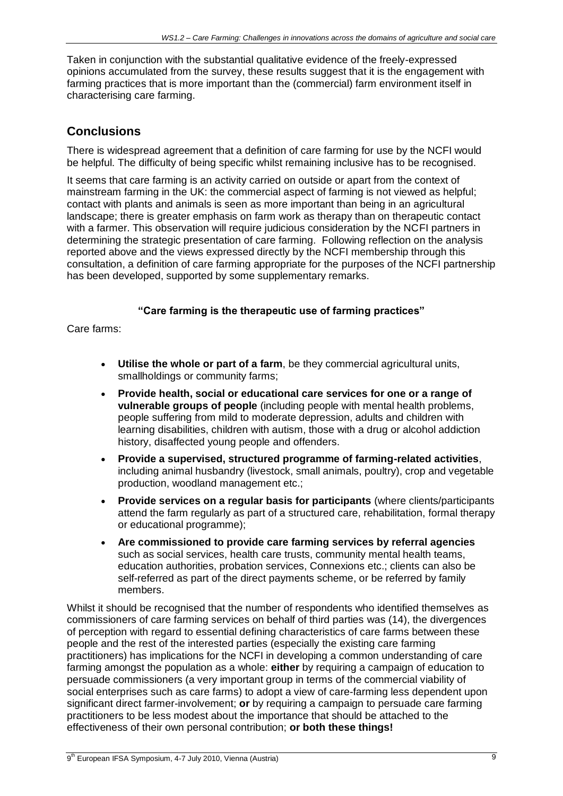Taken in conjunction with the substantial qualitative evidence of the freely-expressed opinions accumulated from the survey, these results suggest that it is the engagement with farming practices that is more important than the (commercial) farm environment itself in characterising care farming.

## **Conclusions**

There is widespread agreement that a definition of care farming for use by the NCFI would be helpful. The difficulty of being specific whilst remaining inclusive has to be recognised.

It seems that care farming is an activity carried on outside or apart from the context of mainstream farming in the UK: the commercial aspect of farming is not viewed as helpful; contact with plants and animals is seen as more important than being in an agricultural landscape; there is greater emphasis on farm work as therapy than on therapeutic contact with a farmer. This observation will require judicious consideration by the NCFI partners in determining the strategic presentation of care farming. Following reflection on the analysis reported above and the views expressed directly by the NCFI membership through this consultation, a definition of care farming appropriate for the purposes of the NCFI partnership has been developed, supported by some supplementary remarks.

#### **"Care farming is the therapeutic use of farming practices"**

Care farms:

- **Utilise the whole or part of a farm**, be they commercial agricultural units, smallholdings or community farms;
- **Provide health, social or educational care services for one or a range of vulnerable groups of people** (including people with mental health problems, people suffering from mild to moderate depression, adults and children with learning disabilities, children with autism, those with a drug or alcohol addiction history, disaffected young people and offenders.
- **Provide a supervised, structured programme of farming-related activities**, including animal husbandry (livestock, small animals, poultry), crop and vegetable production, woodland management etc.;
- **Provide services on a regular basis for participants** (where clients/participants attend the farm regularly as part of a structured care, rehabilitation, formal therapy or educational programme);
- **Are commissioned to provide care farming services by referral agencies** such as social services, health care trusts, community mental health teams, education authorities, probation services, Connexions etc.; clients can also be self-referred as part of the direct payments scheme, or be referred by family members.

Whilst it should be recognised that the number of respondents who identified themselves as commissioners of care farming services on behalf of third parties was (14), the divergences of perception with regard to essential defining characteristics of care farms between these people and the rest of the interested parties (especially the existing care farming practitioners) has implications for the NCFI in developing a common understanding of care farming amongst the population as a whole: **either** by requiring a campaign of education to persuade commissioners (a very important group in terms of the commercial viability of social enterprises such as care farms) to adopt a view of care-farming less dependent upon significant direct farmer-involvement; **or** by requiring a campaign to persuade care farming practitioners to be less modest about the importance that should be attached to the effectiveness of their own personal contribution; **or both these things!**